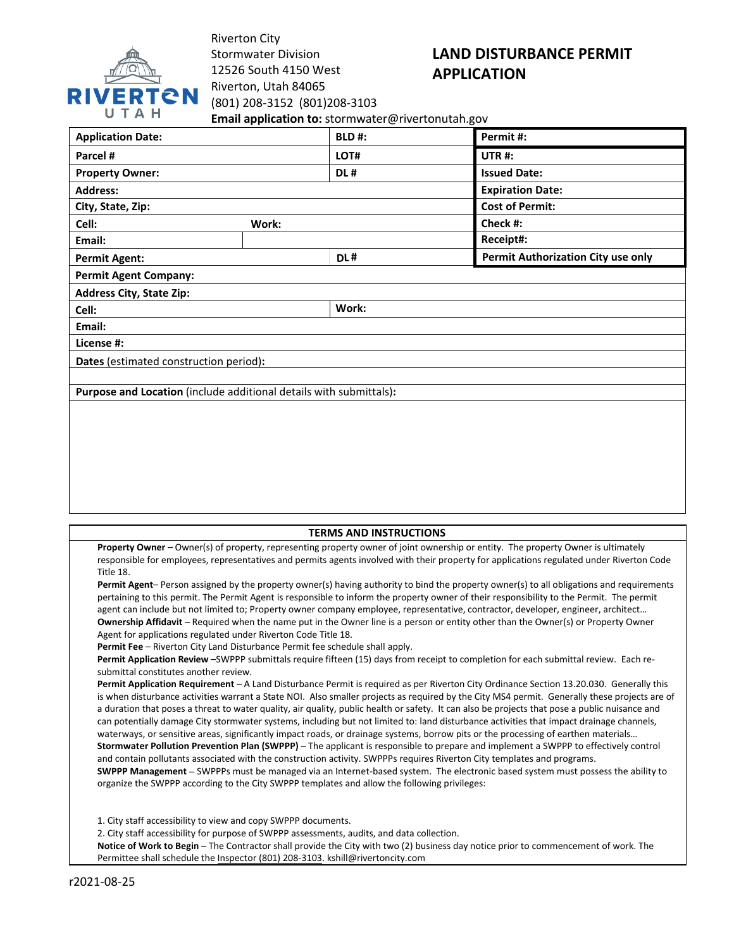

Riverton City Stormwater Division 12526 South 4150 West Riverton, Utah 84065 (801) 208-3152 (801)208-3103

# **LAND DISTURBANCE PERMIT APPLICATION**

**Email application to:** stormwater@rivertonutah.gov

| <b>Application Date:</b>                                           |       | <b>BLD#:</b> | Permit #:                                 |
|--------------------------------------------------------------------|-------|--------------|-------------------------------------------|
| Parcel #                                                           |       | LOT#         | UTR#:                                     |
| <b>Property Owner:</b>                                             |       | DL#          | <b>Issued Date:</b>                       |
| <b>Address:</b>                                                    |       |              | <b>Expiration Date:</b>                   |
| City, State, Zip:                                                  |       |              | <b>Cost of Permit:</b>                    |
| Cell:                                                              | Work: |              | Check #:                                  |
| Email:                                                             |       |              | Receipt#:                                 |
| <b>Permit Agent:</b>                                               |       | DL#          | <b>Permit Authorization City use only</b> |
| <b>Permit Agent Company:</b>                                       |       |              |                                           |
| <b>Address City, State Zip:</b>                                    |       |              |                                           |
| Cell:                                                              |       | Work:        |                                           |
| Email:                                                             |       |              |                                           |
| License #:                                                         |       |              |                                           |
| Dates (estimated construction period):                             |       |              |                                           |
|                                                                    |       |              |                                           |
| Purpose and Location (include additional details with submittals): |       |              |                                           |
|                                                                    |       |              |                                           |
|                                                                    |       |              |                                           |
|                                                                    |       |              |                                           |
|                                                                    |       |              |                                           |
|                                                                    |       |              |                                           |

# **TERMS AND INSTRUCTIONS**

**Property Owner** – Owner(s) of property, representing property owner of joint ownership or entity. The property Owner is ultimately responsible for employees, representatives and permits agents involved with their property for applications regulated under Riverton Code Title 18.

**Permit Agent**– Person assigned by the property owner(s) having authority to bind the property owner(s) to all obligations and requirements pertaining to this permit. The Permit Agent is responsible to inform the property owner of their responsibility to the Permit. The permit agent can include but not limited to; Property owner company employee, representative, contractor, developer, engineer, architect… **Ownership Affidavit** – Required when the name put in the Owner line is a person or entity other than the Owner(s) or Property Owner Agent for applications regulated under Riverton Code Title 18.

**Permit Fee** – Riverton City Land Disturbance Permit fee schedule shall apply.

**Permit Application Review** –SWPPP submittals require fifteen (15) days from receipt to completion for each submittal review. Each resubmittal constitutes another review.

**Permit Application Requirement** – A Land Disturbance Permit is required as per Riverton City Ordinance Section 13.20.030. Generally this is when disturbance activities warrant a State NOI. Also smaller projects as required by the City MS4 permit. Generally these projects are of a duration that poses a threat to water quality, air quality, public health or safety. It can also be projects that pose a public nuisance and can potentially damage City stormwater systems, including but not limited to: land disturbance activities that impact drainage channels, waterways, or sensitive areas, significantly impact roads, or drainage systems, borrow pits or the processing of earthen materials… **Stormwater Pollution Prevention Plan (SWPPP)** – The applicant is responsible to prepare and implement a SWPPP to effectively control and contain pollutants associated with the construction activity. SWPPPs requires Riverton City templates and programs. **SWPPP Management –** SWPPPs must be managed via an Internet-based system. The electronic based system must possess the ability to organize the SWPPP according to the City SWPPP templates and allow the following privileges:

1. City staff accessibility to view and copy SWPPP documents.

2. City staff accessibility for purpose of SWPPP assessments, audits, and data collection.

**Notice of Work to Begin** – The Contractor shall provide the City with two (2) business day notice prior to commencement of work. The Permittee shall schedule the Inspector (801) 208-3103. kshill@rivertoncity.com